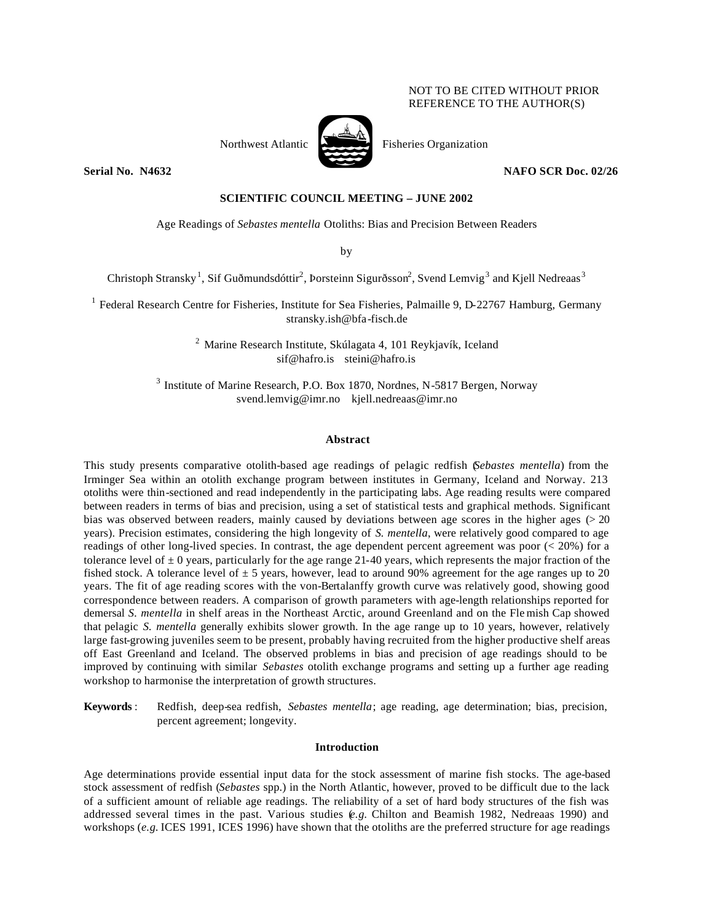# NOT TO BE CITED WITHOUT PRIOR REFERENCE TO THE AUTHOR(S)



Northwest Atlantic Fisheries Organization

**Serial No. N4632** NAFO SCR Doc. 02/26

# **SCIENTIFIC COUNCIL MEETING – JUNE 2002**

Age Readings of *Sebastes mentella* Otoliths: Bias and Precision Between Readers

by

Christoph Stransky<sup>1</sup>, Sif Guðmundsdóttir<sup>2</sup>, Þorsteinn Sigurðsson<sup>2</sup>, Svend Lemvig<sup>3</sup> and Kjell Nedreaas<sup>3</sup>

 $1$  Federal Research Centre for Fisheries, Institute for Sea Fisheries, Palmaille 9, D-22767 Hamburg, Germany stransky.ish@bfa-fisch.de

> $2$  Marine Research Institute, Skúlagata 4, 101 Reykjavík, Iceland sif@hafro.is steini@hafro.is

<sup>3</sup> Institute of Marine Research, P.O. Box 1870, Nordnes, N-5817 Bergen, Norway svend.lemvig@imr.no kjell.nedreaas@imr.no

### **Abstract**

This study presents comparative otolith-based age readings of pelagic redfish (*Sebastes mentella*) from the Irminger Sea within an otolith exchange program between institutes in Germany, Iceland and Norway. 213 otoliths were thin-sectioned and read independently in the participating labs. Age reading results were compared between readers in terms of bias and precision, using a set of statistical tests and graphical methods. Significant bias was observed between readers, mainly caused by deviations between age scores in the higher ages (> 20 years). Precision estimates, considering the high longevity of *S. mentella*, were relatively good compared to age readings of other long-lived species. In contrast, the age dependent percent agreement was poor ( $\lt$  20%) for a tolerance level of  $\pm 0$  years, particularly for the age range 21-40 years, which represents the major fraction of the fished stock. A tolerance level of  $\pm 5$  years, however, lead to around 90% agreement for the age ranges up to 20 years. The fit of age reading scores with the von-Bertalanffy growth curve was relatively good, showing good correspondence between readers. A comparison of growth parameters with age-length relationships reported for demersal *S. mentella* in shelf areas in the Northeast Arctic, around Greenland and on the Fle mish Cap showed that pelagic *S. mentella* generally exhibits slower growth. In the age range up to 10 years, however, relatively large fast-growing juveniles seem to be present, probably having recruited from the higher productive shelf areas off East Greenland and Iceland. The observed problems in bias and precision of age readings should to be improved by continuing with similar *Sebastes* otolith exchange programs and setting up a further age reading workshop to harmonise the interpretation of growth structures.

**Keywords** : Redfish, deep-sea redfish, *Sebastes mentella*; age reading, age determination; bias, precision, percent agreement; longevity.

## **Introduction**

Age determinations provide essential input data for the stock assessment of marine fish stocks. The age-based stock assessment of redfish (*Sebastes* spp.) in the North Atlantic, however, proved to be difficult due to the lack of a sufficient amount of reliable age readings. The reliability of a set of hard body structures of the fish was addressed several times in the past. Various studies (*e.g.* Chilton and Beamish 1982, Nedreaas 1990) and workshops (*e.g.* ICES 1991, ICES 1996) have shown that the otoliths are the preferred structure for age readings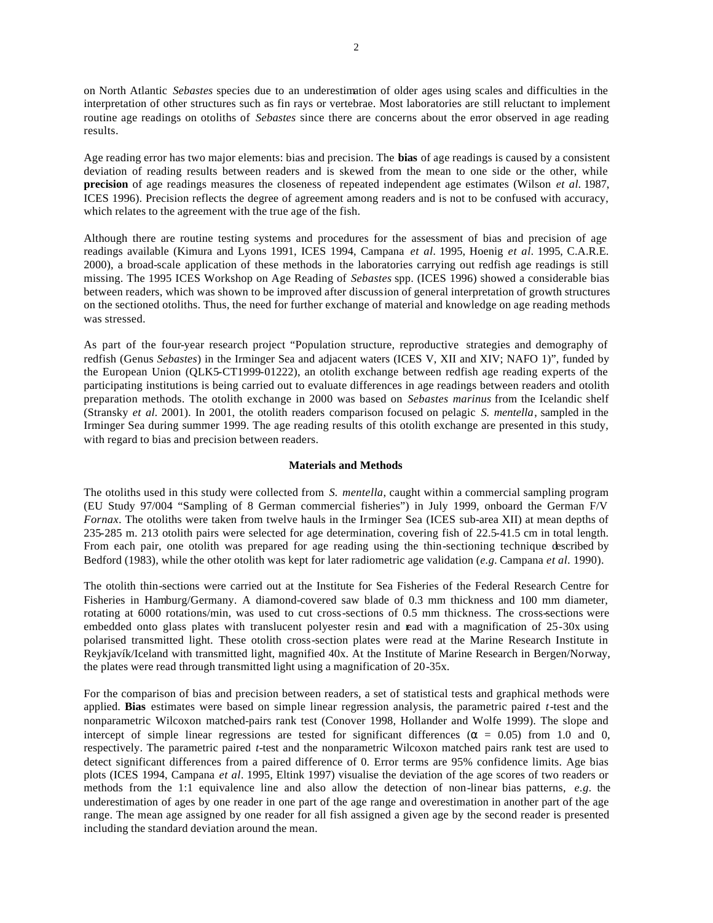on North Atlantic *Sebastes* species due to an underestimation of older ages using scales and difficulties in the interpretation of other structures such as fin rays or vertebrae. Most laboratories are still reluctant to implement routine age readings on otoliths of *Sebastes* since there are concerns about the error observed in age reading results.

Age reading error has two major elements: bias and precision. The **bias** of age readings is caused by a consistent deviation of reading results between readers and is skewed from the mean to one side or the other, while **precision** of age readings measures the closeness of repeated independent age estimates (Wilson *et al.* 1987, ICES 1996). Precision reflects the degree of agreement among readers and is not to be confused with accuracy, which relates to the agreement with the true age of the fish.

Although there are routine testing systems and procedures for the assessment of bias and precision of age readings available (Kimura and Lyons 1991, ICES 1994, Campana *et al.* 1995, Hoenig *et al.* 1995, C.A.R.E. 2000), a broad-scale application of these methods in the laboratories carrying out redfish age readings is still missing. The 1995 ICES Workshop on Age Reading of *Sebastes* spp. (ICES 1996) showed a considerable bias between readers, which was shown to be improved after discussion of general interpretation of growth structures on the sectioned otoliths. Thus, the need for further exchange of material and knowledge on age reading methods was stressed.

As part of the four-year research project "Population structure, reproductive strategies and demography of redfish (Genus *Sebastes*) in the Irminger Sea and adjacent waters (ICES V, XII and XIV; NAFO 1)", funded by the European Union (QLK5-CT1999-01222), an otolith exchange between redfish age reading experts of the participating institutions is being carried out to evaluate differences in age readings between readers and otolith preparation methods. The otolith exchange in 2000 was based on *Sebastes marinus* from the Icelandic shelf (Stransky *et al.* 2001). In 2001, the otolith readers comparison focused on pelagic *S. mentella*, sampled in the Irminger Sea during summer 1999. The age reading results of this otolith exchange are presented in this study, with regard to bias and precision between readers.

### **Materials and Methods**

The otoliths used in this study were collected from *S. mentella*, caught within a commercial sampling program (EU Study 97/004 "Sampling of 8 German commercial fisheries") in July 1999, onboard the German F/V *Fornax*. The otoliths were taken from twelve hauls in the Irminger Sea (ICES sub-area XII) at mean depths of 235-285 m. 213 otolith pairs were selected for age determination, covering fish of 22.5-41.5 cm in total length. From each pair, one otolith was prepared for age reading using the thin-sectioning technique described by Bedford (1983), while the other otolith was kept for later radiometric age validation (*e.g.* Campana *et al.* 1990).

The otolith thin-sections were carried out at the Institute for Sea Fisheries of the Federal Research Centre for Fisheries in Hamburg/Germany. A diamond-covered saw blade of 0.3 mm thickness and 100 mm diameter, rotating at 6000 rotations/min, was used to cut cross-sections of 0.5 mm thickness. The cross-sections were embedded onto glass plates with translucent polyester resin and read with a magnification of 25-30x using polarised transmitted light. These otolith cross-section plates were read at the Marine Research Institute in Reykjavík/Iceland with transmitted light, magnified 40x. At the Institute of Marine Research in Bergen/Norway, the plates were read through transmitted light using a magnification of 20-35x.

For the comparison of bias and precision between readers, a set of statistical tests and graphical methods were applied. **Bias** estimates were based on simple linear regression analysis, the parametric paired *t*-test and the nonparametric Wilcoxon matched-pairs rank test (Conover 1998, Hollander and Wolfe 1999). The slope and intercept of simple linear regressions are tested for significant differences ( $\alpha = 0.05$ ) from 1.0 and 0, respectively. The parametric paired *t*-test and the nonparametric Wilcoxon matched pairs rank test are used to detect significant differences from a paired difference of 0. Error terms are 95% confidence limits. Age bias plots (ICES 1994, Campana *et al.* 1995, Eltink 1997) visualise the deviation of the age scores of two readers or methods from the 1:1 equivalence line and also allow the detection of non-linear bias patterns, *e.g.* the underestimation of ages by one reader in one part of the age range and overestimation in another part of the age range. The mean age assigned by one reader for all fish assigned a given age by the second reader is presented including the standard deviation around the mean.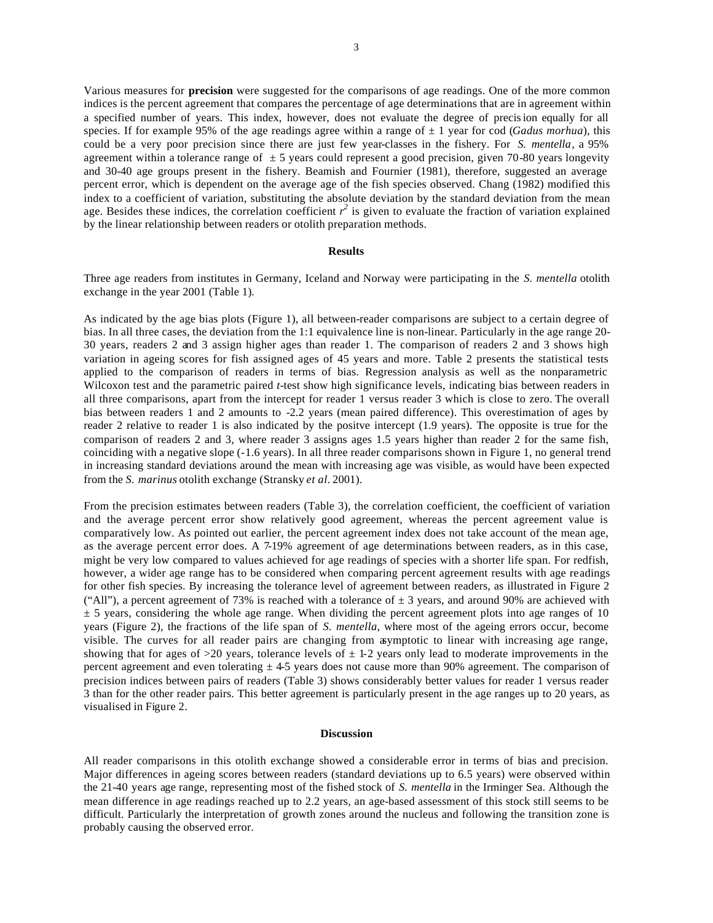Various measures for **precision** were suggested for the comparisons of age readings. One of the more common indices is the percent agreement that compares the percentage of age determinations that are in agreement within a specified number of years. This index, however, does not evaluate the degree of precision equally for all species. If for example 95% of the age readings agree within a range of  $\pm 1$  year for cod (*Gadus morhua*), this could be a very poor precision since there are just few year-classes in the fishery. For *S. mentella*, a 95% agreement within a tolerance range of  $\pm 5$  years could represent a good precision, given 70-80 years longevity and 30-40 age groups present in the fishery. Beamish and Fournier (1981), therefore, suggested an average percent error, which is dependent on the average age of the fish species observed. Chang (1982) modified this index to a coefficient of variation, substituting the absolute deviation by the standard deviation from the mean age. Besides these indices, the correlation coefficient  $r^2$  is given to evaluate the fraction of variation explained by the linear relationship between readers or otolith preparation methods.

#### **Results**

Three age readers from institutes in Germany, Iceland and Norway were participating in the *S. mentella* otolith exchange in the year 2001 (Table 1).

As indicated by the age bias plots (Figure 1), all between-reader comparisons are subject to a certain degree of bias. In all three cases, the deviation from the 1:1 equivalence line is non-linear. Particularly in the age range 20- 30 years, readers 2 and 3 assign higher ages than reader 1. The comparison of readers 2 and 3 shows high variation in ageing scores for fish assigned ages of 45 years and more. Table 2 presents the statistical tests applied to the comparison of readers in terms of bias. Regression analysis as well as the nonparametric Wilcoxon test and the parametric paired *t*-test show high significance levels, indicating bias between readers in all three comparisons, apart from the intercept for reader 1 versus reader 3 which is close to zero. The overall bias between readers 1 and 2 amounts to -2.2 years (mean paired difference). This overestimation of ages by reader 2 relative to reader 1 is also indicated by the positve intercept (1.9 years). The opposite is true for the comparison of readers 2 and 3, where reader 3 assigns ages 1.5 years higher than reader 2 for the same fish, coinciding with a negative slope (-1.6 years). In all three reader comparisons shown in Figure 1, no general trend in increasing standard deviations around the mean with increasing age was visible, as would have been expected from the *S. marinus* otolith exchange (Stransky *et al.* 2001).

From the precision estimates between readers (Table 3), the correlation coefficient, the coefficient of variation and the average percent error show relatively good agreement, whereas the percent agreement value is comparatively low. As pointed out earlier, the percent agreement index does not take account of the mean age, as the average percent error does. A 7-19% agreement of age determinations between readers, as in this case, might be very low compared to values achieved for age readings of species with a shorter life span. For redfish, however, a wider age range has to be considered when comparing percent agreement results with age readings for other fish species. By increasing the tolerance level of agreement between readers, as illustrated in Figure 2 ("All"), a percent agreement of 73% is reached with a tolerance of  $\pm$  3 years, and around 90% are achieved with  $\pm$  5 years, considering the whole age range. When dividing the percent agreement plots into age ranges of 10 years (Figure 2), the fractions of the life span of *S. mentella*, where most of the ageing errors occur, become visible. The curves for all reader pairs are changing from asymptotic to linear with increasing age range, showing that for ages of  $>20$  years, tolerance levels of  $\pm$  1-2 years only lead to moderate improvements in the percent agreement and even tolerating  $\pm$  4-5 years does not cause more than 90% agreement. The comparison of precision indices between pairs of readers (Table 3) shows considerably better values for reader 1 versus reader 3 than for the other reader pairs. This better agreement is particularly present in the age ranges up to 20 years, as visualised in Figure 2.

### **Discussion**

All reader comparisons in this otolith exchange showed a considerable error in terms of bias and precision. Major differences in ageing scores between readers (standard deviations up to 6.5 years) were observed within the 21-40 years age range, representing most of the fished stock of *S. mentella* in the Irminger Sea. Although the mean difference in age readings reached up to 2.2 years, an age-based assessment of this stock still seems to be difficult. Particularly the interpretation of growth zones around the nucleus and following the transition zone is probably causing the observed error.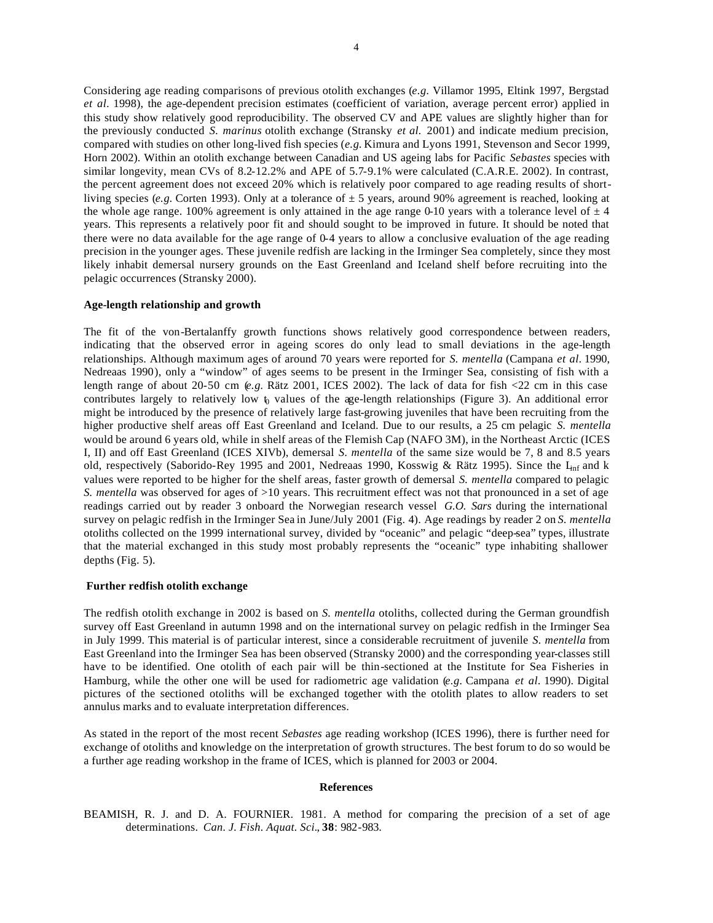Considering age reading comparisons of previous otolith exchanges (*e.g.* Villamor 1995, Eltink 1997, Bergstad *et al.* 1998), the age-dependent precision estimates (coefficient of variation, average percent error) applied in this study show relatively good reproducibility. The observed CV and APE values are slightly higher than for the previously conducted *S. marinus* otolith exchange (Stransky *et al.* 2001) and indicate medium precision, compared with studies on other long-lived fish species (*e.g.* Kimura and Lyons 1991, Stevenson and Secor 1999, Horn 2002). Within an otolith exchange between Canadian and US ageing labs for Pacific *Sebastes* species with similar longevity, mean CVs of 8.2-12.2% and APE of 5.7-9.1% were calculated (C.A.R.E. 2002). In contrast, the percent agreement does not exceed 20% which is relatively poor compared to age reading results of shortliving species (*e.g.* Corten 1993). Only at a tolerance of  $\pm$  5 years, around 90% agreement is reached, looking at the whole age range. 100% agreement is only attained in the age range 0-10 years with a tolerance level of  $\pm 4$ years. This represents a relatively poor fit and should sought to be improved in future. It should be noted that there were no data available for the age range of 0-4 years to allow a conclusive evaluation of the age reading precision in the younger ages. These juvenile redfish are lacking in the Irminger Sea completely, since they most likely inhabit demersal nursery grounds on the East Greenland and Iceland shelf before recruiting into the pelagic occurrences (Stransky 2000).

# **Age-length relationship and growth**

The fit of the von-Bertalanffy growth functions shows relatively good correspondence between readers, indicating that the observed error in ageing scores do only lead to small deviations in the age-length relationships. Although maximum ages of around 70 years were reported for *S. mentella* (Campana *et al.* 1990, Nedreaas 1990), only a "window" of ages seems to be present in the Irminger Sea, consisting of fish with a length range of about 20-50 cm (*e.g.* Rätz 2001, ICES 2002). The lack of data for fish <22 cm in this case contributes largely to relatively low  $\mathfrak h$  values of the age-length relationships (Figure 3). An additional error might be introduced by the presence of relatively large fast-growing juveniles that have been recruiting from the higher productive shelf areas off East Greenland and Iceland. Due to our results, a 25 cm pelagic *S. mentella* would be around 6 years old, while in shelf areas of the Flemish Cap (NAFO 3M), in the Northeast Arctic (ICES I, II) and off East Greenland (ICES XIVb), demersal *S. mentella* of the same size would be 7, 8 and 8.5 years old, respectively (Saborido-Rey 1995 and 2001, Nedreaas 1990, Kosswig & Rätz 1995). Since the L<sub>inf</sub> and k values were reported to be higher for the shelf areas, faster growth of demersal *S. mentella* compared to pelagic *S. mentella* was observed for ages of >10 years. This recruitment effect was not that pronounced in a set of age readings carried out by reader 3 onboard the Norwegian research vessel *G.O. Sars* during the international survey on pelagic redfish in the Irminger Sea in June/July 2001 (Fig. 4). Age readings by reader 2 on *S. mentella* otoliths collected on the 1999 international survey, divided by "oceanic" and pelagic "deep-sea" types, illustrate that the material exchanged in this study most probably represents the "oceanic" type inhabiting shallower depths (Fig. 5).

### **Further redfish otolith exchange**

The redfish otolith exchange in 2002 is based on *S. mentella* otoliths, collected during the German groundfish survey off East Greenland in autumn 1998 and on the international survey on pelagic redfish in the Irminger Sea in July 1999. This material is of particular interest, since a considerable recruitment of juvenile *S. mentella* from East Greenland into the Irminger Sea has been observed (Stransky 2000) and the corresponding year-classes still have to be identified. One otolith of each pair will be thin-sectioned at the Institute for Sea Fisheries in Hamburg, while the other one will be used for radiometric age validation (*e.g.* Campana *et al.* 1990). Digital pictures of the sectioned otoliths will be exchanged together with the otolith plates to allow readers to set annulus marks and to evaluate interpretation differences.

As stated in the report of the most recent *Sebastes* age reading workshop (ICES 1996), there is further need for exchange of otoliths and knowledge on the interpretation of growth structures. The best forum to do so would be a further age reading workshop in the frame of ICES, which is planned for 2003 or 2004.

#### **References**

BEAMISH, R. J. and D. A. FOURNIER. 1981. A method for comparing the precision of a set of age determinations. *Can. J. Fish. Aquat. Sci.*, **38**: 982-983.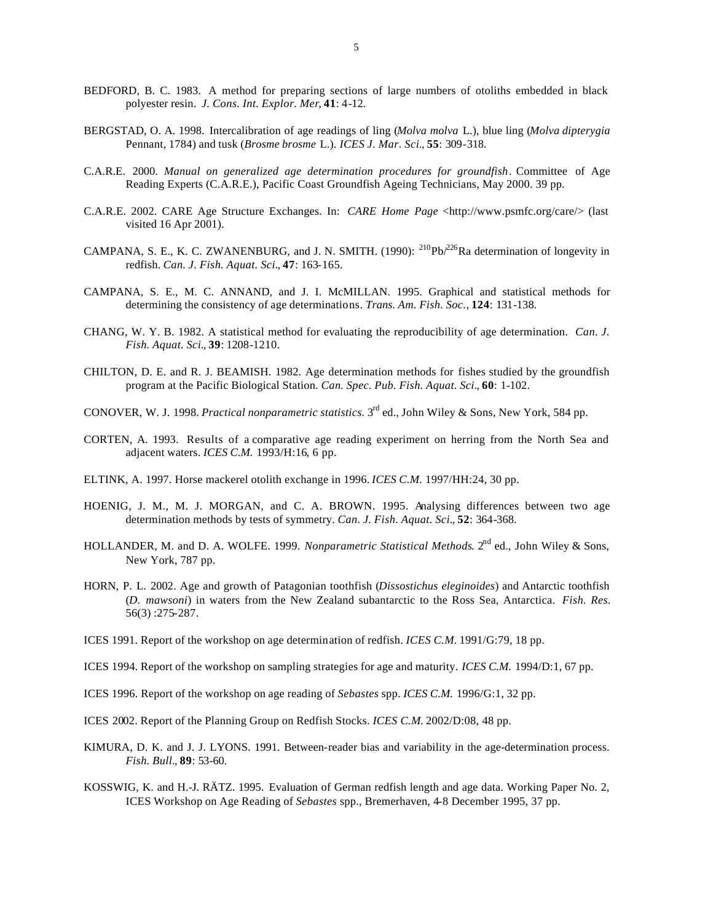- BEDFORD, B. C. 1983. A method for preparing sections of large numbers of otoliths embedded in black polyester resin. *J. Cons. Int. Explor. Mer*, **41**: 4-12.
- BERGSTAD, O. A. 1998. Intercalibration of age readings of ling (*Molva molva* L.), blue ling (*Molva dipterygia* Pennant, 1784) and tusk (*Brosme brosme* L.). *ICES J. Mar. Sci.*, **55**: 309-318.
- C.A.R.E. 2000. *Manual on generalized age determination procedures for groundfish*. Committee of Age Reading Experts (C.A.R.E.), Pacific Coast Groundfish Ageing Technicians, May 2000. 39 pp.
- C.A.R.E. 2002. CARE Age Structure Exchanges. In: *CARE Home Page* <http://www.psmfc.org/care/> (last visited 16 Apr 2001).
- CAMPANA, S. E., K. C. ZWANENBURG, and J. N. SMITH. (1990):  $^{210}Pb^{226}Ra$  determination of longevity in redfish. *Can. J. Fish. Aquat. Sci.*, **47**: 163-165.
- CAMPANA, S. E., M. C. ANNAND, and J. I. McMILLAN. 1995. Graphical and statistical methods for determining the consistency of age determinations. *Trans. Am. Fish. Soc.*, **124**: 131-138.
- CHANG, W. Y. B. 1982. A statistical method for evaluating the reproducibility of age determination. *Can. J. Fish. Aquat. Sci.*, **39**: 1208-1210.
- CHILTON, D. E. and R. J. BEAMISH. 1982. Age determination methods for fishes studied by the groundfish program at the Pacific Biological Station. *Can. Spec. Pub. Fish. Aquat. Sci.*, **60**: 1-102.
- CONOVER, W. J. 1998. *Practical nonparametric statistics.* 3rd ed., John Wiley & Sons, New York, 584 pp.
- CORTEN, A. 1993. Results of a comparative age reading experiment on herring from the North Sea and adjacent waters. *ICES C.M.* 1993/H:16, 6 pp.
- ELTINK, A. 1997. Horse mackerel otolith exchange in 1996. *ICES C.M.* 1997/HH:24, 30 pp.
- HOENIG, J. M., M. J. MORGAN, and C. A. BROWN. 1995. Analysing differences between two age determination methods by tests of symmetry. *Can. J. Fish. Aquat. Sci.*, **52**: 364-368.
- HOLLANDER, M. and D. A. WOLFE. 1999. *Nonparametric Statistical Methods*. 2<sup>nd</sup> ed., John Wiley & Sons, New York, 787 pp.
- HORN, P. L. 2002. Age and growth of Patagonian toothfish (*Dissostichus eleginoides*) and Antarctic toothfish (*D. mawsoni*) in waters from the New Zealand subantarctic to the Ross Sea, Antarctica. *Fish. Res.* 56(3) :275-287.
- ICES 1991. Report of the workshop on age determination of redfish. *ICES C.M.* 1991/G:79, 18 pp.
- ICES 1994. Report of the workshop on sampling strategies for age and maturity. *ICES C.M.* 1994/D:1, 67 pp.
- ICES 1996. Report of the workshop on age reading of *Sebastes* spp. *ICES C.M.* 1996/G:1, 32 pp.
- ICES 2002. Report of the Planning Group on Redfish Stocks. *ICES C.M.* 2002/D:08, 48 pp.
- KIMURA, D. K. and J. J. LYONS. 1991. Between-reader bias and variability in the age-determination process. *Fish. Bull.*, **89**: 53-60.
- KOSSWIG, K. and H.-J. RÄTZ. 1995. Evaluation of German redfish length and age data. Working Paper No. 2, ICES Workshop on Age Reading of *Sebastes* spp., Bremerhaven, 4-8 December 1995, 37 pp.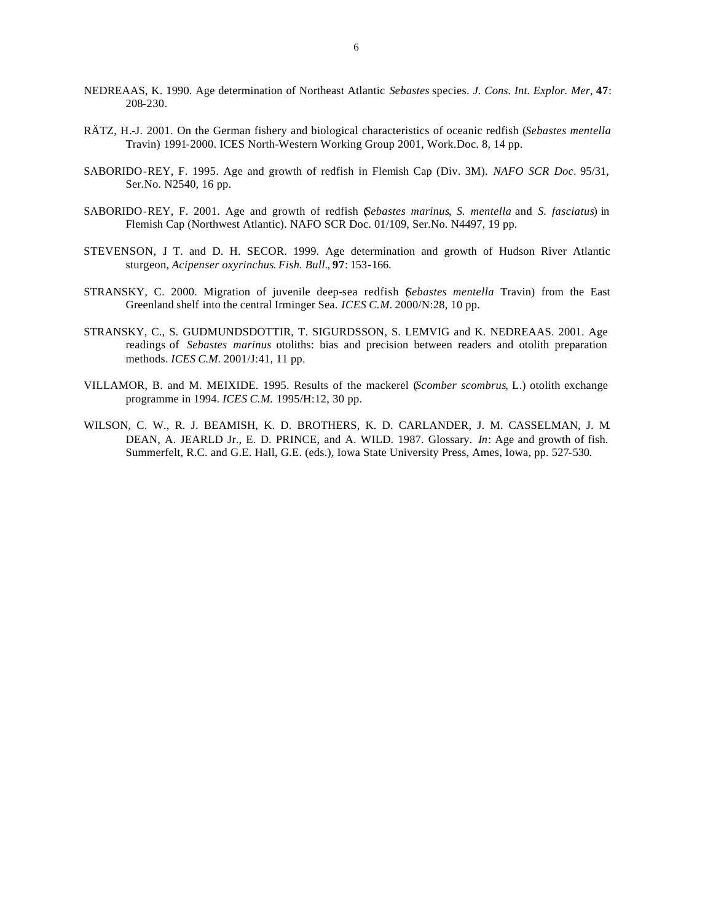- NEDREAAS, K. 1990. Age determination of Northeast Atlantic *Sebastes* species. *J. Cons. Int. Explor. Mer*, **47**: 208-230.
- RÄTZ, H.-J. 2001. On the German fishery and biological characteristics of oceanic redfish (*Sebastes mentella* Travin) 1991-2000. ICES North-Western Working Group 2001, Work.Doc. 8, 14 pp.
- SABORIDO-REY, F. 1995. Age and growth of redfish in Flemish Cap (Div. 3M). *NAFO SCR Doc*. 95/31, Ser.No. N2540, 16 pp.
- SABORIDO-REY, F. 2001. Age and growth of redfish (*Sebastes marinus*, *S. mentella* and *S. fasciatus*) in Flemish Cap (Northwest Atlantic). NAFO SCR Doc. 01/109, Ser.No. N4497, 19 pp.
- STEVENSON, J. T. and D. H. SECOR. 1999. Age determination and growth of Hudson River Atlantic sturgeon, *Acipenser oxyrinchus*. *Fish. Bull.*, **97**: 153-166.
- STRANSKY, C. 2000. Migration of juvenile deep-sea redfish (*Sebastes mentella* Travin) from the East Greenland shelf into the central Irminger Sea. *ICES C.M.* 2000/N:28, 10 pp.
- STRANSKY, C., S. GUDMUNDSDOTTIR, T. SIGURDSSON, S. LEMVIG and K. NEDREAAS. 2001. Age readings of *Sebastes marinus* otoliths: bias and precision between readers and otolith preparation methods. *ICES C.M.* 2001/J:41, 11 pp.
- VILLAMOR, B. and M. MEIXIDE. 1995. Results of the mackerel (*Scomber scombrus*, L.) otolith exchange programme in 1994. *ICES C.M.* 1995/H:12, 30 pp.
- WILSON, C. W., R. J. BEAMISH, K. D. BROTHERS, K. D. CARLANDER, J. M. CASSELMAN, J. M. DEAN, A. JEARLD Jr., E. D. PRINCE, and A. WILD. 1987. Glossary. *In*: Age and growth of fish. Summerfelt, R.C. and G.E. Hall, G.E. (eds.), Iowa State University Press, Ames, Iowa, pp. 527-530.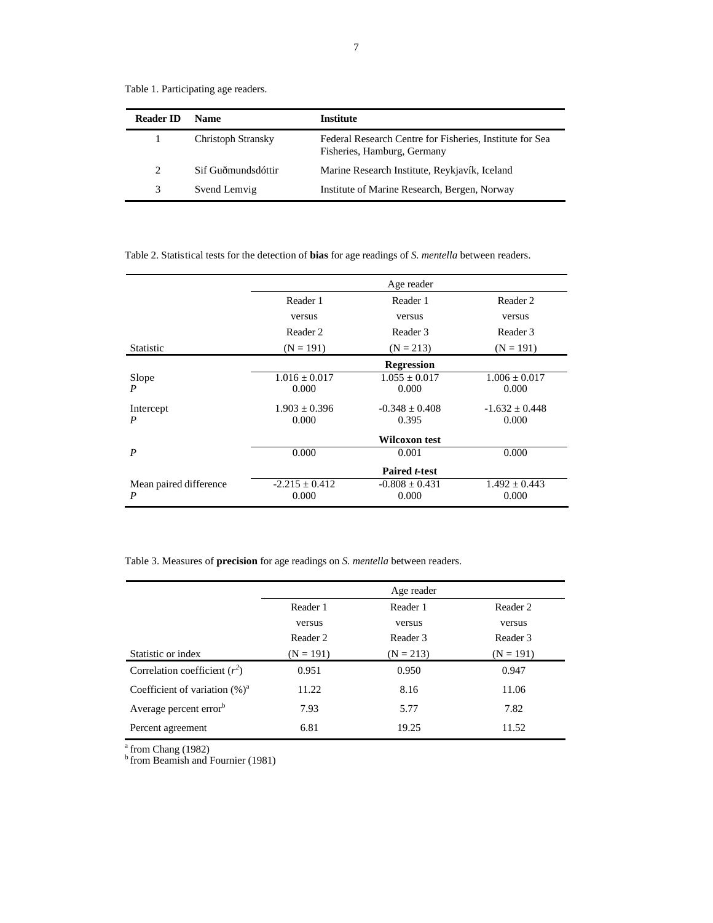| <b>Reader ID</b> | <b>Name</b>        | <b>Institute</b>                                                                        |
|------------------|--------------------|-----------------------------------------------------------------------------------------|
|                  | Christoph Stransky | Federal Research Centre for Fisheries, Institute for Sea<br>Fisheries, Hamburg, Germany |
| 2                | Sif Guðmundsdóttir | Marine Research Institute, Reykjavík, Iceland                                           |
| 3                | Svend Lemvig       | Institute of Marine Research, Bergen, Norway                                            |

Table 1. Participating age readers.

Table 2. Statistical tests for the detection of **bias** for age readings of *S. mentella* between readers.

|                             |                             | Age reader                  |                            |
|-----------------------------|-----------------------------|-----------------------------|----------------------------|
|                             | Reader 1                    | Reader 1                    | Reader 2                   |
|                             | versus                      | versus                      | versus                     |
|                             | Reader 2                    | Reader 3                    | Reader 3                   |
| <b>Statistic</b>            | $(N = 191)$                 | $(N = 213)$                 | $(N = 191)$                |
|                             |                             | Regression                  |                            |
| Slope<br>P                  | $1.016 \pm 0.017$<br>0.000  | $1.055 + 0.017$<br>0.000    | $1.006 \pm 0.017$<br>0.000 |
| Intercept                   | $1.903 \pm 0.396$           | $-0.348 + 0.408$            | $-1.632 \pm 0.448$         |
| P                           | 0.000                       | 0.395                       | 0.000                      |
|                             |                             | Wilcoxon test               |                            |
| $\boldsymbol{P}$            | 0.000                       | 0.001                       | 0.000                      |
|                             |                             | Paired t-test               |                            |
| Mean paired difference<br>P | $-2.215 \pm 0.412$<br>0.000 | $-0.808 \pm 0.431$<br>0.000 | $1.492 \pm 0.443$<br>0.000 |

Table 3. Measures of **precision** for age readings on *S. mentella* between readers.

|                                    | Age reader  |             |             |
|------------------------------------|-------------|-------------|-------------|
|                                    | Reader 1    | Reader 1    | Reader 2    |
|                                    | versus      | versus      | versus      |
|                                    | Reader 2    | Reader 3    | Reader 3    |
| Statistic or index                 | $(N = 191)$ | $(N = 213)$ | $(N = 191)$ |
| Correlation coefficient $(r^2)$    | 0.951       | 0.950       | 0.947       |
| Coefficient of variation $(\%)^a$  | 11.22       | 8.16        | 11.06       |
| Average percent error <sup>b</sup> | 7.93        | 5.77        | 7.82        |
| Percent agreement                  | 6.81        | 19.25       | 11.52       |

 $a$  from Chang (1982)

<sup>b</sup> from Beamish and Fournier (1981)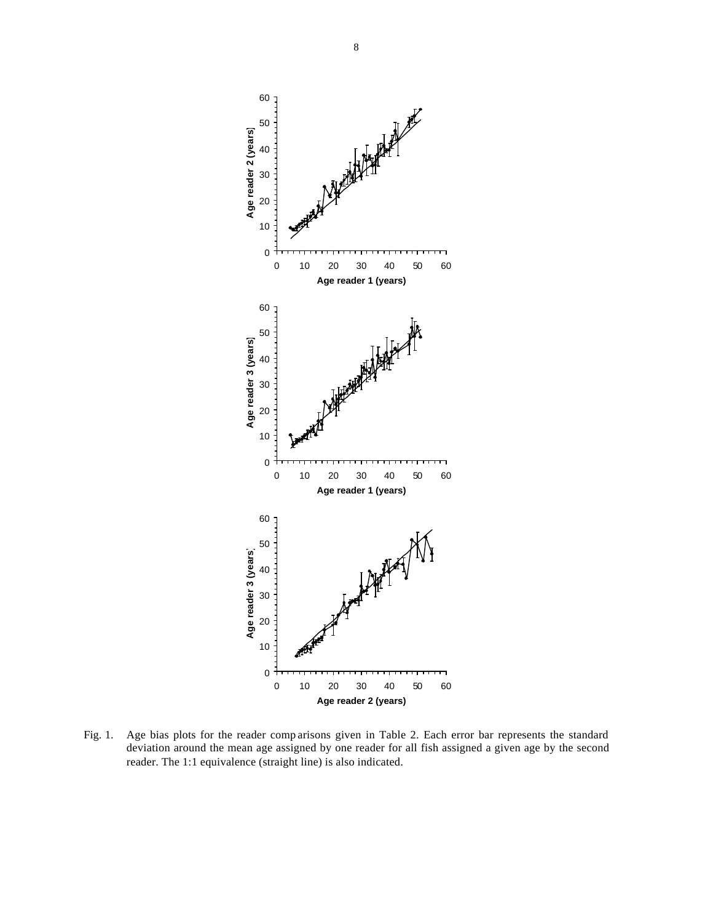

Fig. 1. Age bias plots for the reader comp arisons given in Table 2. Each error bar represents the standard deviation around the mean age assigned by one reader for all fish assigned a given age by the second reader. The 1:1 equivalence (straight line) is also indicated.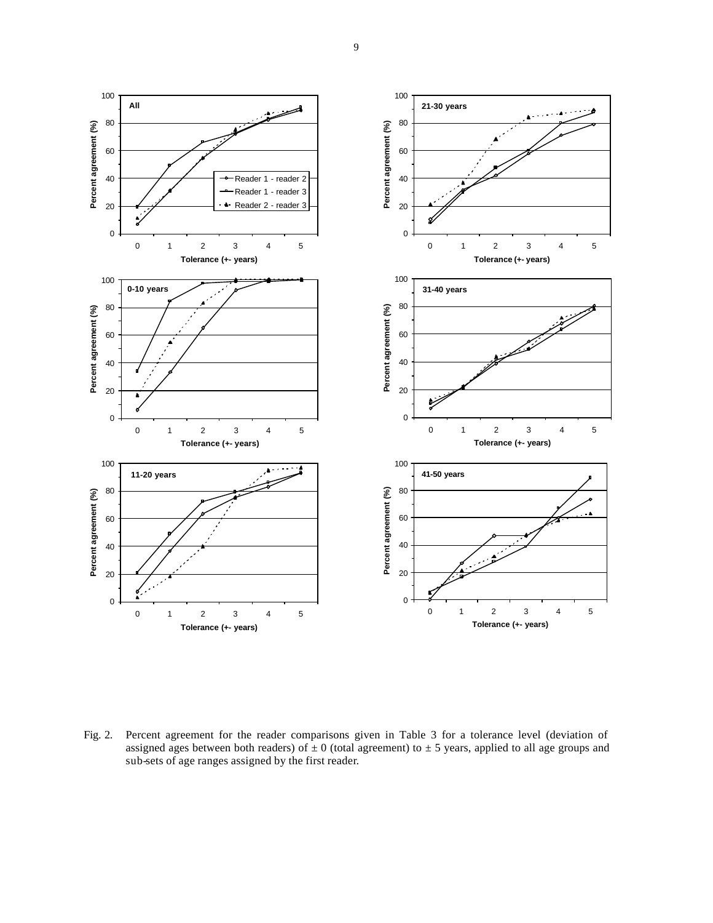

Fig. 2. Percent agreement for the reader comparisons given in Table 3 for a tolerance level (deviation of assigned ages between both readers) of  $\pm$  0 (total agreement) to  $\pm$  5 years, applied to all age groups and sub-sets of age ranges assigned by the first reader.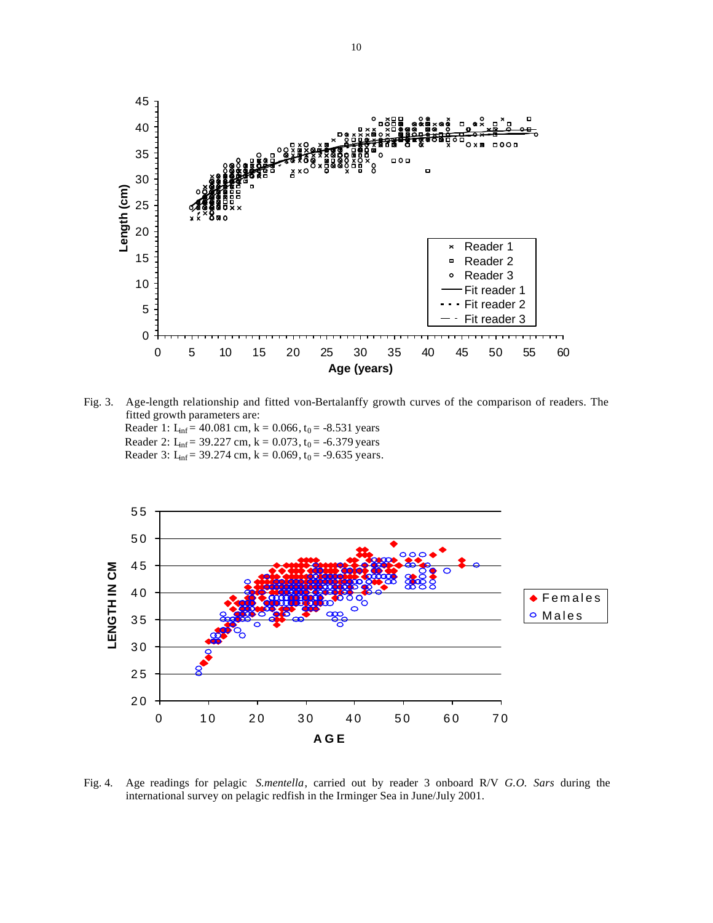

Fig. 3. Age-length relationship and fitted von-Bertalanffy growth curves of the comparison of readers. The fitted growth parameters are: Reader 1:  $L_{inf}$  = 40.081 cm, k = 0.066, t<sub>0</sub> = -8.531 years Reader 2:  $L_{inf} = 39.227$  cm,  $k = 0.073$ ,  $t_0 = -6.379$  years Reader 3: L<sub>inf</sub> = 39.274 cm, k = 0.069, t<sub>0</sub> = -9.635 years.



Fig. 4. Age readings for pelagic *S.mentella*, carried out by reader 3 onboard R/V *G.O. Sars* during the international survey on pelagic redfish in the Irminger Sea in June/July 2001.